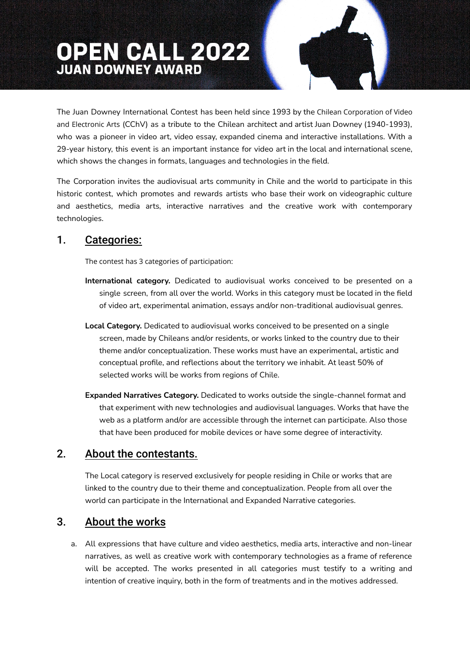# **OPEN CALL 2022**

The Juan Downey International Contest has been held since 1993 by the Chilean Corporation of Video and Electronic Arts (CChV) as a tribute to the Chilean architect and artist Juan Downey (1940-1993), who was a pioneer in video art, video essay, expanded cinema and interactive installations. With a 29-year history, this event is an important instance for video art in the local and international scene, which shows the changes in formats, languages and technologies in the field.

The Corporation invites the audiovisual arts community in Chile and the world to participate in this historic contest, which promotes and rewards artists who base their work on videographic culture and aesthetics, media arts, interactive narratives and the creative work with contemporary technologies.

## 1. Categories:

The contest has 3 categories of participation:

- **International category.** Dedicated to audiovisual works conceived to be presented on a single screen, from all over the world. Works in this category must be located in the field of video art, experimental animation, essays and/or non-traditional audiovisual genres.
- **Local Category.** Dedicated to audiovisual works conceived to be presented on a single screen, made by Chileans and/or residents, or works linked to the country due to their theme and/or conceptualization. These works must have an experimental, artistic and conceptual profile, and reflections about the territory we inhabit. At least 50% of selected works will be works from regions of Chile.
- **Expanded Narratives Category.** Dedicated to works outside the single-channel format and that experiment with new technologies and audiovisual languages. Works that have the web as a platform and/or are accessible through the internet can participate. Also those that have been produced for mobile devices or have some degree of interactivity.

# 2. About the contestants.

The Local category is reserved exclusively for people residing in Chile or works that are linked to the country due to their theme and conceptualization. People from all over the world can participate in the International and Expanded Narrative categories.

# 3. About the works

a. All expressions that have culture and video aesthetics, media arts, interactive and non-linear narratives, as well as creative work with contemporary technologies as a frame of reference will be accepted. The works presented in all categories must testify to a writing and intention of creative inquiry, both in the form of treatments and in the motives addressed.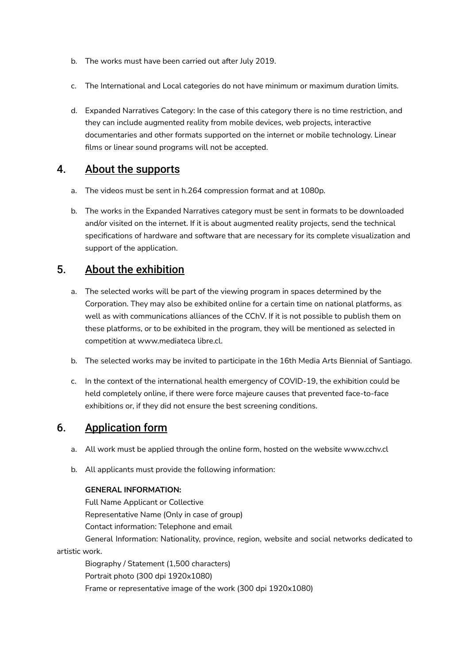- b. The works must have been carried out after July 2019.
- c. The International and Local categories do not have minimum or maximum duration limits.
- d. Expanded Narratives Category: In the case of this category there is no time restriction, and they can include augmented reality from mobile devices, web projects, interactive documentaries and other formats supported on the internet or mobile technology. Linear films or linear sound programs will not be accepted.

# 4. About the supports

- a. The videos must be sent in h.264 compression format and at 1080p.
- b. The works in the Expanded Narratives category must be sent in formats to be downloaded and/or visited on the internet. If it is about augmented reality projects, send the technical specifications of hardware and software that are necessary for its complete visualization and support of the application.

# 5. About the exhibition

- a. The selected works will be part of the viewing program in spaces determined by the Corporation. They may also be exhibited online for a certain time on national platforms, as well as with communications alliances of the CChV. If it is not possible to publish them on these platforms, or to be exhibited in the program, they will be mentioned as selected in competition at www.mediateca libre.cl.
- b. The selected works may be invited to participate in the 16th Media Arts Biennial of Santiago.
- c. In the context of the international health emergency of COVID-19, the exhibition could be held completely online, if there were force majeure causes that prevented face-to-face exhibitions or, if they did not ensure the best screening conditions.

# 6. Application form

- a. All work must be applied through the online form, hosted on the website www.cchv.cl
- b. All applicants must provide the following information:

#### **GENERAL INFORMATION:**

Full Name Applicant or Collective Representative Name (Only in case of group) Contact information: Telephone and email General Information: Nationality, province, region, website and social networks dedicated to

artistic work.

Biography / Statement (1,500 characters) Portrait photo (300 dpi 1920x1080) Frame or representative image of the work (300 dpi 1920x1080)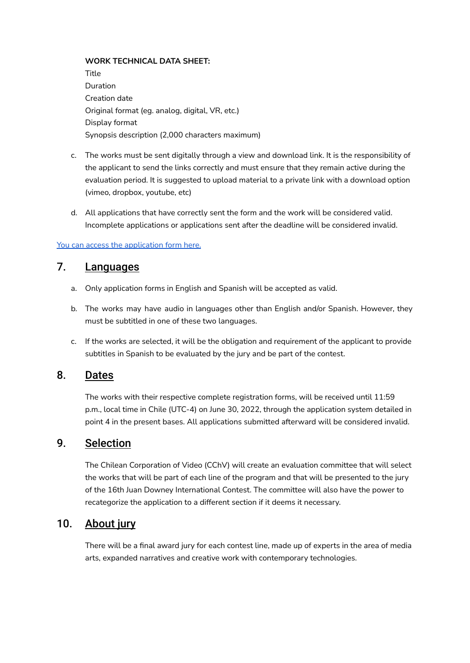#### **WORK TECHNICAL DATA SHEET:**

Title Duration Creation date Original format (eg. analog, digital, VR, etc.) Display format Synopsis description (2,000 characters maximum)

- c. The works must be sent digitally through a view and download link. It is the responsibility of the applicant to send the links correctly and must ensure that they remain active during the evaluation period. It is suggested to upload material to a private link with a download option (vimeo, dropbox, youtube, etc)
- d. All applications that have correctly sent the form and the work will be considered valid. Incomplete applications or applications sent after the deadline will be considered invalid.

#### You can access the [application](https://forms.gle/446Xjqj7HsYfYJtJ7) form here.

## 7. Languages

- a. Only application forms in English and Spanish will be accepted as valid.
- b. The works may have audio in languages other than English and/or Spanish. However, they must be subtitled in one of these two languages.
- c. If the works are selected, it will be the obligation and requirement of the applicant to provide subtitles in Spanish to be evaluated by the jury and be part of the contest.

## 8. Dates

The works with their respective complete registration forms, will be received until 11:59 p.m., local time in Chile (UTC-4) on June 30, 2022, through the application system detailed in point 4 in the present bases. All applications submitted afterward will be considered invalid.

## 9. Selection

The Chilean Corporation of Video (CChV) will create an evaluation committee that will select the works that will be part of each line of the program and that will be presented to the jury of the 16th Juan Downey International Contest. The committee will also have the power to recategorize the application to a different section if it deems it necessary.

## 10. About jury

There will be a final award jury for each contest line, made up of experts in the area of media arts, expanded narratives and creative work with contemporary technologies.